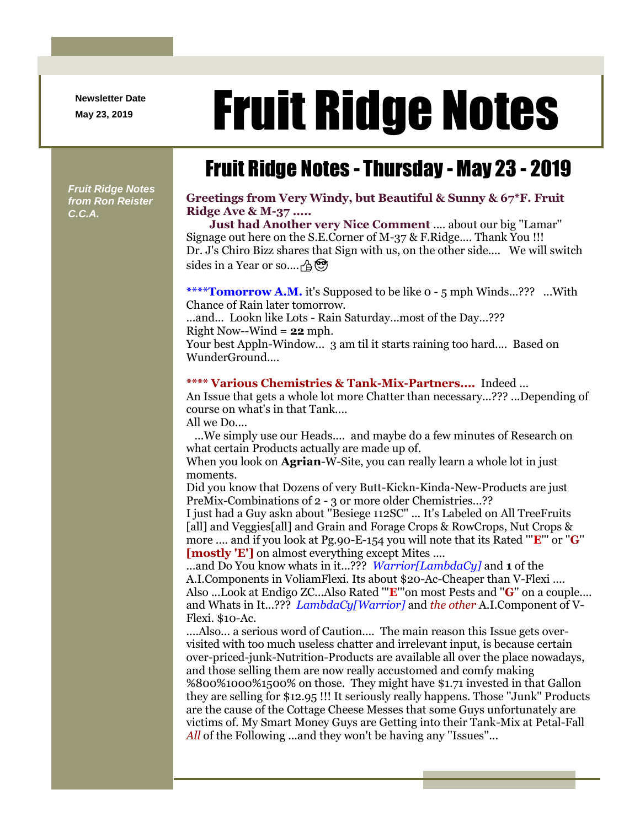**Newsletter Date**

# Newsletter Date **Fruit Ridge Notes**

## Fruit Ridge Notes - Thursday - May 23 - 2019

*Fruit Ridge Notes from Ron Reister C.C.A.*

#### **Greetings from Very Windy, but Beautiful & Sunny & 67\*F. Fruit Ridge Ave & M-37 .....**

**Just had Another very Nice Comment** .... about our big ''Lamar'' Signage out here on the S.E.Corner of M-37 & F.Ridge.... Thank You !!! Dr. J's Chiro Bizz shares that Sign with us, on the other side.... We will switch sides in a Year or so....  $\oplus$   $\otimes$ 

**\*\*\*\*Tomorrow A.M.** it's Supposed to be like 0 - 5 mph Winds...??? ...With Chance of Rain later tomorrow.

...and... Lookn like Lots - Rain Saturday...most of the Day...??? Right Now--Wind = **22** mph.

Your best Appln-Window... 3 am til it starts raining too hard.... Based on WunderGround....

#### **\*\*\*\* Various Chemistries & Tank-Mix-Partners....** Indeed ...

An Issue that gets a whole lot more Chatter than necessary...??? ...Depending of course on what's in that Tank.... All we Do....

...We simply use our Heads.... and maybe do a few minutes of Research on what certain Products actually are made up of.

When you look on **Agrian**-W-Site, you can really learn a whole lot in just moments.

Did you know that Dozens of very Butt-Kickn-Kinda-New-Products are just PreMix-Combinations of 2 - 3 or more older Chemistries...??

I just had a Guy askn about ''Besiege 112SC'' ... It's Labeled on All TreeFruits [all] and Veggies[all] and Grain and Forage Crops & RowCrops, Nut Crops & more .... and if you look at Pg.90-E-154 you will note that its Rated '''**E**''' or ''**G**'' **[mostly 'E']** on almost everything except Mites ....

...and Do You know whats in it...??? *Warrior[LambdaCy]* and **1** of the A.I.Components in VoliamFlexi. Its about \$20-Ac-Cheaper than V-Flexi .... Also ...Look at Endigo ZC...Also Rated '''**E**'''on most Pests and ''**G**'' on a couple.... and Whats in It...??? *LambdaCy[Warrior]* and *the other* A.I.Component of V-Flexi. \$10-Ac.

....Also... a serious word of Caution.... The main reason this Issue gets overvisited with too much useless chatter and irrelevant input, is because certain over-priced-junk-Nutrition-Products are available all over the place nowadays, and those selling them are now really accustomed and comfy making %800%1000%1500% on those. They might have \$1.71 invested in that Gallon they are selling for \$12.95 !!! It seriously really happens. Those ''Junk'' Products are the cause of the Cottage Cheese Messes that some Guys unfortunately are victims of. My Smart Money Guys are Getting into their Tank-Mix at Petal-Fall *All* of the Following ...and they won't be having any "Issues"...